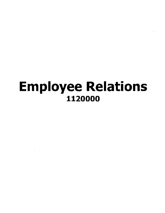# Employee Relations 1120000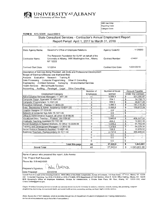

OSC Use Only: Reporting Code:

Category Code:

#### FORM B NYS GOER Award 66816

### State Consultant Services - Contractor's Annual Employment Report Report Period: April 1, 2017 to March 31, 2018

| State Agency Name:                                                                                                                                                                                                                                                                                                                                                       | Governor's Office of Employee Relations                                                                              |              | Agency Code/ID:           | 1120000                      |  |
|--------------------------------------------------------------------------------------------------------------------------------------------------------------------------------------------------------------------------------------------------------------------------------------------------------------------------------------------------------------------------|----------------------------------------------------------------------------------------------------------------------|--------------|---------------------------|------------------------------|--|
| Contractor Name:                                                                                                                                                                                                                                                                                                                                                         | The Research Foundation for SUNY on behalf of the<br>University at Albany, 1400 Washington Ave., Albany,<br>NY 12222 |              | Contract Number:          | $-C14037-$                   |  |
| Contract Start Date:                                                                                                                                                                                                                                                                                                                                                     | 1/1/2014                                                                                                             |              | <b>Contract End Date:</b> | 12/31/2019                   |  |
| Description of Services Being Provided: Job Skills and Professional Development<br>Scope of Contract (Choose one that best fits):<br>Evaluation Research<br>Analysis<br>Training X<br>Data Processing Computer Programming<br>Other IT Consulting<br>Engineering Architect Services Surveying Environmental Services<br>Health Services<br><b>Mental Health Services</b> |                                                                                                                      |              |                           |                              |  |
| Accounting                                                                                                                                                                                                                                                                                                                                                               | Other Consulting<br>Auditing Paralegal Legal                                                                         | Number of    | Number of hours           | Amount Payable               |  |
|                                                                                                                                                                                                                                                                                                                                                                          | <b>Employment Category</b>                                                                                           | Employees    | worked                    | Under the Contract           |  |
| Administrative Services Managers 11-3011.00                                                                                                                                                                                                                                                                                                                              |                                                                                                                      | 11           | 9.058.4                   | \$<br>501,580.87             |  |
| Computer Suppt. Specialist 15-1041.00                                                                                                                                                                                                                                                                                                                                    |                                                                                                                      | 1            | 294.1                     | s<br>14,708.71               |  |
| Computer Programmers 15-1021.00                                                                                                                                                                                                                                                                                                                                          |                                                                                                                      | 3            | 558.9                     | \$<br>36,677.45              |  |
| Education Administr, -Postsec 11-9033.00                                                                                                                                                                                                                                                                                                                                 |                                                                                                                      | 9            | 1,099.3                   | \$<br>147,116.35             |  |
|                                                                                                                                                                                                                                                                                                                                                                          | Exec. Secretaries & Admin. Assistants 43-6011.00                                                                     | 4            | 5,026.8                   | \$<br>169,612.24             |  |
| Graphic Designer 27-1024.00                                                                                                                                                                                                                                                                                                                                              |                                                                                                                      | $\bf{0}$     | 0.0                       | \$                           |  |
| Network & Computer Sys Adm 15-1071.00                                                                                                                                                                                                                                                                                                                                    |                                                                                                                      | 0            | 0.0                       | S                            |  |
|                                                                                                                                                                                                                                                                                                                                                                          | Office & Administrative Support, all other 43-9199.99                                                                | $\mathbf{0}$ | 0.0                       | \$                           |  |
|                                                                                                                                                                                                                                                                                                                                                                          | Vocational Educ. Teacher - Postsec. 25-1194.00                                                                       | 5            | 5.683.6                   | \$<br>406,557.52             |  |
| Graduate Teaching Assistant 25-1191.00                                                                                                                                                                                                                                                                                                                                   |                                                                                                                      | 1            | 405.2                     | \$<br>10,991.35              |  |
|                                                                                                                                                                                                                                                                                                                                                                          | Social Scientists & Related Workers, All Other 19-3099.99                                                            | 3            | 1,546.2                   | \$<br>91,783,49              |  |
|                                                                                                                                                                                                                                                                                                                                                                          | Training and Development Managers 11-3042.00                                                                         | 2            | 1,378.6                   | $\overline{\$}$<br>84,229.34 |  |
| Social Science Research Assistant 19-4061.00                                                                                                                                                                                                                                                                                                                             |                                                                                                                      | $\mathbf{1}$ | 156.9                     | \$<br>12,878.52              |  |
| Business Teachers, Postsecondary 25-1011.00                                                                                                                                                                                                                                                                                                                              |                                                                                                                      | 4            | 2,737.0                   | 7<br>366,945,00              |  |
|                                                                                                                                                                                                                                                                                                                                                                          |                                                                                                                      | O            | 0.0                       | \$                           |  |
|                                                                                                                                                                                                                                                                                                                                                                          |                                                                                                                      | 0            | 0.0                       | $\overline{\mathbb{S}}$      |  |
|                                                                                                                                                                                                                                                                                                                                                                          |                                                                                                                      | $\Omega$     | 0.0                       | \$                           |  |
|                                                                                                                                                                                                                                                                                                                                                                          | <b>Total this page</b>                                                                                               | 44           | 27,945.0                  | \$<br>1,843,081              |  |
| <b>Grand Total</b>                                                                                                                                                                                                                                                                                                                                                       |                                                                                                                      | 44           | 27,945.0                  | S<br>1,843,081.00            |  |

Name of person who prepared this report: Julie Aversa

Title: Project Staff Associate

Phone No: 518-442-6566

Chilie aura Preparer's Signature: Date Prepared: 4/23/2018

Submit Form B to each of the following locations: NYS Office of the State Comptroller, Bureau of Contracts, 110 State Street, 11<sup>th</sup> Floor, Albany, NY 12236; Attn: Consultant Reporting, Fax (518) 474-8030 or (518)-473-8808; NYS Department of Civil Service, Alfred E. Smith Office Building, Albany, NY 12239; NYS Governor's Office of Employee Relations, Division for Administration, 2 Empire State Plaza, 8th Floor, Albany, NY 12223-1250, email Chana.Golden@goer.ny.gov.

Chapter 10 defines Consulting Services to include any contracts entered into by the University for analysis, evaluation, research, training, data processing, computer programming, engineering, environmental, health, and mental health services, accounting, auditing, paralegal, legal or similar services.

(Note: Access the O\*NET database, which is available through the US Department of Labor's Employment and Training Administration, on-line at online onetcenter org to find a list of occupations.)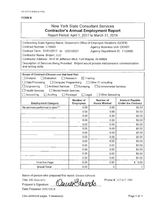### New York State Consultant Services **Contractor's Annual Employment Report**

Report Period: April 1, 2017 to March 31, 2018

| Contracting State Agency Name: Governor's Office of Employee Relations (GOER)                                     |                                  |                                  |                                                    |
|-------------------------------------------------------------------------------------------------------------------|----------------------------------|----------------------------------|----------------------------------------------------|
| Contract Number: C16003<br>Agency Business Unit: OER01                                                            |                                  |                                  |                                                    |
| Contract Term: 01/01/2017 to 12/21/2021                                                                           |                                  | Agency Department ID: 1120000    |                                                    |
| Contractor Name: Briljent, LLC                                                                                    |                                  |                                  |                                                    |
| Contractor Address: 7615 W Jefferson Blvd. Fort Wayne, IN 46804                                                   |                                  |                                  |                                                    |
| Description of Services Being Provided: Briljent would provide interpersonal communication<br>and writing skills. |                                  |                                  |                                                    |
|                                                                                                                   |                                  |                                  |                                                    |
| Scope of Contract (Choose one that best fits):                                                                    |                                  |                                  |                                                    |
| $\Box$ Analysis<br>$\exists$ Evaluation                                                                           | Research<br>$\boxtimes$ Training |                                  |                                                    |
| Data Processing<br>$\Box$ Computer Programming                                                                    |                                  | □ Other IT consulting            |                                                    |
| Engineering<br>Architect Services                                                                                 | $\Box$ Surveying                 | Environmental Services           |                                                    |
| <b>Health Services</b><br>$\Box$ Mental Health Services                                                           |                                  |                                  |                                                    |
| Accounting<br>Auditing                                                                                            | $\Box$ Legal<br>Paralegal        | Other Consulting                 |                                                    |
| <b>Employment Category</b>                                                                                        | Number of<br>Employees           | Number of<br><b>Hours Worked</b> | <b>Amount Payable</b><br><b>Under the Contract</b> |
| No services performed to date***                                                                                  | 0.00                             | 0.00                             | \$0.00                                             |
|                                                                                                                   | 0.00                             | 0.00                             | \$0.00                                             |
|                                                                                                                   | 0.00                             | 0.00                             | \$0.00                                             |
|                                                                                                                   | 0.00                             | 0.00                             | \$0.00                                             |
|                                                                                                                   | 0.00                             | 0.00                             | \$0.00                                             |
|                                                                                                                   | 0.00                             | 0.00                             | \$0.00                                             |
|                                                                                                                   | 0.00                             | 0.00                             | \$0.00                                             |
|                                                                                                                   | 0.00                             | 0.00                             | \$0.00                                             |
|                                                                                                                   | 0.00                             | 0.00                             | \$0.00                                             |
|                                                                                                                   | 0.00                             | 0.00                             | \$0.00                                             |
|                                                                                                                   | 0.00                             | 0.00                             | \$0.00                                             |
|                                                                                                                   | 0.00                             | 0.00                             | \$0.00                                             |
|                                                                                                                   | 0.00                             | 0.00                             | \$0.00                                             |
| Total this Page                                                                                                   | 0.00                             | 0.00                             | \$.<br>0.00                                        |
| <b>Grand Total</b>                                                                                                | 0.00                             | $\overline{0}$                   | 0                                                  |

Name of person who prepared this report: Desiree Edwards

Title: HR Generalist  $\sqrt{2}$ .  $\sqrt{2}d$ . mad.

Preparer's Signature: <u>4 MUN ANDIAN ANDIAN</u>

Date Prepared: 05/071201 8

(Use additional pages, if necessary) example to the extra set of the Page 1 of 1

Phone#: 317-617-1091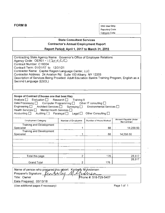**FORM B** OSC Use Only: Reporting Code: Category Code:

### **State Consultant Services Contractor's Annual Employment Report Report Period: April 1, 2017 to March 31, 2018**

| Contracting State Agency Name: Governor's Office of Employee Relations                        |
|-----------------------------------------------------------------------------------------------|
| Agency Code: OER01 - 1120000                                                                  |
| Contract Number: C16004                                                                       |
| Contract Term: 01/01/17 to 12/31/21                                                           |
| Contractor Name: Capital Region Language Center, LLC                                          |
| Contractor Address: 24 Aviation Rd. Suite 100 Albany, NY 12205                                |
| Description of Services Being Provided: Adult Education Basics Training Program, English as a |
| Second Language (ESOL)                                                                        |
|                                                                                               |

| Scope of Contract (Choose one that best fits):<br>Analysis Evaluation Research Training X<br>Data Processing $\Box$ Computer Programming $\Box$ Other IT consulting $\Box$<br>Engineering $\Box$ Architect Services $\Box$ Surveying $\Box$ Environmental Services $\Box$<br>Health Services □ Mental Health Services □<br>Accounting $\Box$ | Auditing $\Box$ Paralegal $\Box$ Legal $\Box$ | Other Consulting $\square$ |                                      |
|----------------------------------------------------------------------------------------------------------------------------------------------------------------------------------------------------------------------------------------------------------------------------------------------------------------------------------------------|-----------------------------------------------|----------------------------|--------------------------------------|
| <b>Employment Category</b>                                                                                                                                                                                                                                                                                                                   | Number of Employees                           | Number of Hours Worked     | Amount Payable Under<br>the Contract |
| Training and Development<br>Specialist                                                                                                                                                                                                                                                                                                       |                                               | 88                         | 14,258.50                            |
| Training and Development<br>Specialist                                                                                                                                                                                                                                                                                                       |                                               | 88                         | 14,258.50                            |
|                                                                                                                                                                                                                                                                                                                                              |                                               |                            |                                      |
|                                                                                                                                                                                                                                                                                                                                              |                                               |                            |                                      |
|                                                                                                                                                                                                                                                                                                                                              |                                               |                            |                                      |
| Total this page                                                                                                                                                                                                                                                                                                                              | 2                                             | 176                        | 28,517                               |
| Grand Total                                                                                                                                                                                                                                                                                                                                  |                                               | 176                        | 28,517                               |

| Name of person who prepared this report: Kimberly M Andersen<br>Preparer's Signature: <i>[Ammumum M] Armuman</i> |                       |
|------------------------------------------------------------------------------------------------------------------|-----------------------|
| Title: Owner                                                                                                     | Phone #: 518-729-5407 |
| Date Prepared: 05/13/18                                                                                          |                       |

(Use additional pages if necessary) example that the extra page 1 of 1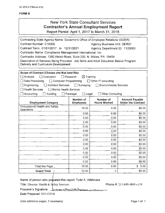| <b>New York State Consultant Services</b>      |  |
|------------------------------------------------|--|
| <b>Contractor's Annual Employment Report</b>   |  |
| Report Period: April 1, 2017 to March 31, 2018 |  |

| Contracting State Agency Name: Governor's Office of Employee Relations (GOER)         |                                  |                                  |                                                    |  |
|---------------------------------------------------------------------------------------|----------------------------------|----------------------------------|----------------------------------------------------|--|
| Contract Number: C16005<br><b>Agency Business Unit: OER01</b>                         |                                  |                                  |                                                    |  |
| Contract Term: 01/01/2017 to 12/31/2021<br>Agency Department ID: 1120000              |                                  |                                  |                                                    |  |
| Contractor Name: Compliance Management International, Inc.                            |                                  |                                  |                                                    |  |
| Contractor Address: 1350 Welsh Road, Suite 200, N. Wales, PA 19454                    |                                  |                                  |                                                    |  |
| Description of Services Being Provided: Job Skills and Adult Education Basics Program |                                  |                                  |                                                    |  |
| Delivery and Curriculum Development                                                   |                                  |                                  |                                                    |  |
|                                                                                       |                                  |                                  |                                                    |  |
| Scope of Contract (Choose one that best fits):<br>$\exists$ Evaluation                | Research                         |                                  |                                                    |  |
| $\Box$ Analysis                                                                       | $\boxtimes$ Training             |                                  |                                                    |  |
| Data Processing<br>$\Box$ Computer Programming                                        |                                  | $\Box$ Other IT consulting       |                                                    |  |
| $\Box$ Architect Services<br>Engineering<br>Health Services                           | $\Box$ Surveying                 | <b>Environmental Services</b>    |                                                    |  |
| $\Box$ Mental Health Services                                                         |                                  |                                  |                                                    |  |
| $\exists$ Accounting<br>Auditing                                                      | $\Box$ Legal<br>$\Box$ Paralegal | $\Box$ Other Consulting          |                                                    |  |
| <b>Employment Category</b>                                                            | Number of<br><b>Employees</b>    | Number of<br><b>Hours Worked</b> | <b>Amount Payable</b><br><b>Under the Contract</b> |  |
| Occupational Health and Safety<br><b>Specialists</b>                                  | 19.00                            | 0.00                             | \$0.00                                             |  |
|                                                                                       | 0.00.                            | 0.00                             | \$0.00                                             |  |
|                                                                                       | 0.00                             | 0.00                             | \$0.00                                             |  |
|                                                                                       | 0.00.                            | 0.00                             | \$0.00                                             |  |
|                                                                                       | 0.00                             | 0.00                             | \$0.00                                             |  |
|                                                                                       | 0.00                             | 0.00                             | \$0.00                                             |  |
|                                                                                       | 0.00                             | 0.00                             | \$0.00                                             |  |
|                                                                                       | 0.00                             | 0.00                             | \$0.00                                             |  |
|                                                                                       | 0.00.                            | 0.00                             | \$0.00                                             |  |
|                                                                                       | 0.00                             | 0.00                             | \$0.00                                             |  |
|                                                                                       | 0.00                             | 0.00                             | \$0.00                                             |  |
|                                                                                       | 0.00                             | 0.00                             | \$0.00                                             |  |
|                                                                                       | 0.00                             | 0.00                             | \$0.00                                             |  |
| Total this Page,                                                                      | 19.00                            | 0.00                             | \$0.00                                             |  |
| <b>Grand Total</b>                                                                    | 19.00                            | $\theta$                         | \$0.00                                             |  |

### Name of person who prepared this report: Todd A. Allshouse

Title: Director, Health & Safety Services

Phone #: 215-699-4800 x119

Preparer's Signature: ~~ )...

Date Prepared: 05/14/2018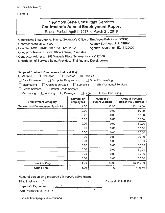# New York State Consultant Services Contractor's Annual Employment Report

Report Period: April 1, 2017 to March 31, 2018

| Contracting State Agency Name: Governor's Office of Employee Relations (GOER) |                                         |                                    |                                                    |  |  |
|-------------------------------------------------------------------------------|-----------------------------------------|------------------------------------|----------------------------------------------------|--|--|
| Contract Number: C16009                                                       |                                         | <b>Agency Business Unit: OER01</b> |                                                    |  |  |
| Contract Term: 01/01/2017 to 12/31/2022                                       |                                         | Agency Department ID: 1120000      |                                                    |  |  |
| Contractor Name: Empire State Training Assciates                              |                                         |                                    |                                                    |  |  |
| Contractor Address: 1158 Waverly Place Schenectady NY 12308                   |                                         |                                    |                                                    |  |  |
| Description of Services Being Provided: Training and Development              |                                         |                                    |                                                    |  |  |
|                                                                               |                                         |                                    |                                                    |  |  |
|                                                                               |                                         |                                    |                                                    |  |  |
| Scope of Contract (Choose one that best fits):<br>$\Box$ Evaluation           | $\boxtimes$ Training<br>$\Box$ Research |                                    |                                                    |  |  |
| □ Analysis                                                                    |                                         | Other IT consulting                |                                                    |  |  |
| Computer Programming<br><b>Data Processing</b>                                | Ιi                                      | Environmental Services             |                                                    |  |  |
| <b>Architect Services</b><br>Engineering                                      | $\Box$ Surveying                        |                                    |                                                    |  |  |
| Mental Health Services<br>Health Services                                     |                                         | □ Other Consulting                 |                                                    |  |  |
| $\Box$ Auditing<br>□ Accounting                                               | $\Box$ Legal<br>$\Box$ Paralegal        |                                    |                                                    |  |  |
| <b>Employment Category</b>                                                    | <b>Number of</b><br><b>Employees</b>    | Number of<br><b>Hours Worked</b>   | <b>Amount Payable</b><br><b>Under the Contract</b> |  |  |
| Training and Development Specialist                                           | 1.00                                    | 30.00                              | \$3,149.00                                         |  |  |
|                                                                               | 0.00                                    | 0.00                               | \$0.00                                             |  |  |
|                                                                               | 0.00                                    | 0.00                               | \$0.00                                             |  |  |
|                                                                               | 0.00                                    | 0.00                               | \$0.00                                             |  |  |
|                                                                               | 0.00                                    | 0.00                               | \$0.00                                             |  |  |
|                                                                               | 0.00                                    | 0.00                               | \$0.00                                             |  |  |
|                                                                               | 0.00                                    | 0.00                               | \$0.00                                             |  |  |
|                                                                               | 0.00                                    | 0.00                               | \$0.00                                             |  |  |
| ŧ                                                                             | 0.00                                    | 0.00                               | \$0.00                                             |  |  |
| Ŧ                                                                             | 0.00                                    | 0.00                               | \$0.00                                             |  |  |
|                                                                               | 0.00                                    | 0.00                               | \$0.00                                             |  |  |
|                                                                               | 0.00                                    | 0.00                               | \$0.00                                             |  |  |
|                                                                               | \$0.00<br>0.00<br>0.00                  |                                    |                                                    |  |  |
| <b>Total this Page</b>                                                        | 1.00                                    | 30.00                              | \$3,149.00                                         |  |  |
| <b>Grand Total</b>                                                            | 1.00                                    | 30                                 | 3149.00                                            |  |  |

Name of person who prepared this report: Debra Hazard

/ Title: President *(* \ *(-* Preparer's Signature: Date Prepared: 05/14/2018 Phone#: 5184888083

(Use additional pages, if necessary) example and the extra set of the Page 1 of 1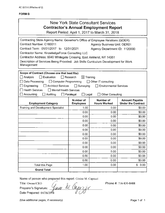|                                                                                                                                                                                                                                                                                                                                                                                   |                                                                                          | New York State Consultant Services<br><b>Contractor's Annual Employment Report</b><br>Report Period: April 1, 2017 to March 31, 2018 |                                                    |
|-----------------------------------------------------------------------------------------------------------------------------------------------------------------------------------------------------------------------------------------------------------------------------------------------------------------------------------------------------------------------------------|------------------------------------------------------------------------------------------|--------------------------------------------------------------------------------------------------------------------------------------|----------------------------------------------------|
| Contracting State Agency Name: Governor's Office of Employee Relations (GOER)<br>Contract Number: C160011<br>Contract Term: 01/01/2017 to 12/31/2021<br>Contractor Name: KnowledgeForce Consulting LLC<br>Contractor Address: 6040 Whitegate Crossing, East Amherst, NY 14051<br>Description of Services Being Provided: Job Skills Curriculum Development for Work<br>Management |                                                                                          | <b>Agency Business Unit: OER01</b><br>Agency Department ID: 1120000                                                                  |                                                    |
| Scope of Contract (Choose one that best fits):<br>□ Analysis<br>$\Box$ Evaluation<br>$\Box$ Data Processing<br>$\Box$ Computer Programming<br>$\Box$ Engineering<br>Architect Services<br>$\Box$ Health Services<br>Mental Health Services<br>$\Box$ Accounting<br>Auditing                                                                                                       | $\Box$ Research<br>$\boxtimes$ Training<br>$\Box$ Surveying<br>Paralegal<br>$\Box$ Legal | □ Other IT consulting<br><b>Environmental Services</b><br><b>Other Consulting</b>                                                    |                                                    |
| <b>Employment Category</b>                                                                                                                                                                                                                                                                                                                                                        | Number of<br><b>Employees</b>                                                            | Number of<br><b>Hours Worked</b>                                                                                                     | <b>Amount Payable</b><br><b>Under the Contract</b> |
| <b>Training and Development Specialist</b>                                                                                                                                                                                                                                                                                                                                        | 1.00                                                                                     | 0.00                                                                                                                                 | \$0.00                                             |
|                                                                                                                                                                                                                                                                                                                                                                                   | 0.00                                                                                     | 0.00                                                                                                                                 | \$0.00                                             |
|                                                                                                                                                                                                                                                                                                                                                                                   | 0.00                                                                                     | 0.00                                                                                                                                 | \$0.00                                             |
|                                                                                                                                                                                                                                                                                                                                                                                   | 0.00                                                                                     | 0.00                                                                                                                                 | \$0.00                                             |
|                                                                                                                                                                                                                                                                                                                                                                                   | 0.00                                                                                     | 0.00                                                                                                                                 | \$0.00                                             |
|                                                                                                                                                                                                                                                                                                                                                                                   | 0.00                                                                                     | 0.00                                                                                                                                 | \$0.00                                             |
|                                                                                                                                                                                                                                                                                                                                                                                   | 0.00                                                                                     | 0.00                                                                                                                                 | \$0.00                                             |
|                                                                                                                                                                                                                                                                                                                                                                                   | 0.00                                                                                     | 0.00                                                                                                                                 | \$0.00                                             |
|                                                                                                                                                                                                                                                                                                                                                                                   | 0.00                                                                                     | 0.00                                                                                                                                 | \$0.00                                             |
|                                                                                                                                                                                                                                                                                                                                                                                   | 0.00                                                                                     | 0.00                                                                                                                                 | \$0.00                                             |
|                                                                                                                                                                                                                                                                                                                                                                                   | 0.00                                                                                     | 0.00                                                                                                                                 | \$0.00                                             |
|                                                                                                                                                                                                                                                                                                                                                                                   | 0.00                                                                                     | 0.00                                                                                                                                 | \$0.00                                             |
|                                                                                                                                                                                                                                                                                                                                                                                   | 0.00                                                                                     | 0.00                                                                                                                                 | \$0.00                                             |
| <b>Total this Page</b>                                                                                                                                                                                                                                                                                                                                                            | 1.00                                                                                     | 0.00                                                                                                                                 | 0.00<br>\$                                         |
| <b>Grand Total</b>                                                                                                                                                                                                                                                                                                                                                                |                                                                                          |                                                                                                                                      |                                                    |

Name of person who prepared this report: Ginine M. Capozzi

Title: Owner/CEO *{.. ·J.* ~.., Preparer's Signature: *Yuule 1U* 0 Date Prepared: 04/26/2018

Phone#: 716-830-8488

(Use additional pages, if necessary) example the example of the example of the Page 1 of 1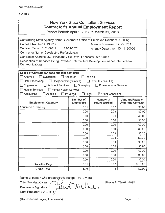|                                                                                                                                                                                                                                                                                                                                                                                                                       |                  | <b>New York State Consultant Services</b><br><b>Contractor's Annual Employment Report</b><br>Report Period: April 1, 2017 to March 31, 2018 |                                                    |  |
|-----------------------------------------------------------------------------------------------------------------------------------------------------------------------------------------------------------------------------------------------------------------------------------------------------------------------------------------------------------------------------------------------------------------------|------------------|---------------------------------------------------------------------------------------------------------------------------------------------|----------------------------------------------------|--|
| Contracting State Agency Name: Governor's Office of Employee Relations (GOER)<br>Contract Number: C160017<br>Contract Term: 01/01/2017 to 12/31/2021<br>Contractor Name: Developing Professionals<br>Contractor Address: 330 Pleasant View Drive, Lancaster, NY 14086<br>Description of Services Being Provided: Curriculum Development under Interpersonal<br>Communications                                         |                  | Agency Business Unit: OER01<br>Agency Department ID: 1120000                                                                                |                                                    |  |
| Scope of Contract (Choose one that best fits):<br>Analysis<br>$\Box$ Evaluation<br>Research<br>Training<br>Computer Programming<br>Data Processing<br>Other IT consulting<br>Architect Services<br>$\Box$ Surveying<br>Engineering<br><b>Environmental Services</b><br><b>Health Services</b><br>$\Box$ Mental Health Services<br>Accounting<br>Auditing<br>$\Box$ Legal<br>$\boxtimes$ Other Consulting<br>Paralegal |                  |                                                                                                                                             |                                                    |  |
|                                                                                                                                                                                                                                                                                                                                                                                                                       | <b>Number of</b> | Number of                                                                                                                                   |                                                    |  |
| <b>Employment Category</b>                                                                                                                                                                                                                                                                                                                                                                                            | <b>Employees</b> | <b>Hours Worked</b>                                                                                                                         | <b>Amount Payable</b><br><b>Under the Contract</b> |  |
| <b>Education &amp; Training</b>                                                                                                                                                                                                                                                                                                                                                                                       | 0.01             | 0.00                                                                                                                                        | \$0.00                                             |  |
|                                                                                                                                                                                                                                                                                                                                                                                                                       | 0.00             | 0.00                                                                                                                                        | \$0.00                                             |  |
|                                                                                                                                                                                                                                                                                                                                                                                                                       | 0.00             | 0.00                                                                                                                                        | \$0.00                                             |  |
|                                                                                                                                                                                                                                                                                                                                                                                                                       | 0.00             | 0.00                                                                                                                                        | \$0.00                                             |  |
|                                                                                                                                                                                                                                                                                                                                                                                                                       | 0.00             | 0.00                                                                                                                                        | \$0.00                                             |  |
|                                                                                                                                                                                                                                                                                                                                                                                                                       | 0.00             | 0.00                                                                                                                                        | \$0.00                                             |  |
|                                                                                                                                                                                                                                                                                                                                                                                                                       | 0.00             | 0.00                                                                                                                                        | \$0.00                                             |  |
|                                                                                                                                                                                                                                                                                                                                                                                                                       | 0.00             | 0.00                                                                                                                                        | \$0.00                                             |  |
|                                                                                                                                                                                                                                                                                                                                                                                                                       | 0.00             | 0.00                                                                                                                                        | \$0.00                                             |  |
|                                                                                                                                                                                                                                                                                                                                                                                                                       | 0.00             | 0.00                                                                                                                                        | \$0.00                                             |  |
|                                                                                                                                                                                                                                                                                                                                                                                                                       | 0.00             | 0.00                                                                                                                                        | \$0.00                                             |  |
|                                                                                                                                                                                                                                                                                                                                                                                                                       | 0.00             | 0.00                                                                                                                                        | \$0.00                                             |  |
|                                                                                                                                                                                                                                                                                                                                                                                                                       | 0.00             | 0.00                                                                                                                                        | \$0.00                                             |  |
| Total this Page<br><b>Grand Total</b>                                                                                                                                                                                                                                                                                                                                                                                 | 0.01<br>1.00     | 0.00<br>$\pmb{0}$                                                                                                                           | \$0.00<br>\$0.00                                   |  |

 $\Lambda\Lambda$ 

Name of person who prepared this report: Lori E. Miller

 $\lambda$ 

Title: President/Owner Preparer's Signature: Date Prepared: 05/05/2018 Phone #: 716 681-9988

(Use additional pages, if necessary)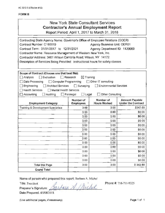# New York State Consultant Services **Contractor's Annual Employment Report**

Report Period: April 1, 2017 to March 31, 2018

| Contracting State Agency Name: Governor's Office of Employee Relations (GOER)<br>Contract Number: C160019<br><b>Agency Business Unit: OER01</b><br>Contract Term: 01/01/2017 to 12/31/2021<br>Agency Department ID: 1120000 |                                      |                                  |                                                    |  |  |
|-----------------------------------------------------------------------------------------------------------------------------------------------------------------------------------------------------------------------------|--------------------------------------|----------------------------------|----------------------------------------------------|--|--|
| Contractor Name: Resource Management of Western New York, Inc.                                                                                                                                                              |                                      |                                  |                                                    |  |  |
| Contractor Address: 3461 Wilson Cambria Road; Wilson, NY 14172                                                                                                                                                              |                                      |                                  |                                                    |  |  |
| Description of Services Being Provided: instructional hours for safety classes                                                                                                                                              |                                      |                                  |                                                    |  |  |
|                                                                                                                                                                                                                             |                                      |                                  |                                                    |  |  |
|                                                                                                                                                                                                                             |                                      |                                  |                                                    |  |  |
| Scope of Contract (Choose one that best fits):<br>Analysis<br>$\Box$ Evaluation                                                                                                                                             | Research<br>$\boxtimes$ Training     |                                  |                                                    |  |  |
| Data Processing                                                                                                                                                                                                             |                                      | Other IT consulting              |                                                    |  |  |
| $\Box$ Computer Programming                                                                                                                                                                                                 |                                      | Environmental Services           |                                                    |  |  |
| <b>Architect Services</b><br>$\Box$ Engineering<br>Health Services<br>□ Mental Health Services                                                                                                                              | $\Box$ Surveying                     |                                  |                                                    |  |  |
| Accounting                                                                                                                                                                                                                  |                                      |                                  |                                                    |  |  |
| Auditing                                                                                                                                                                                                                    | Paralegal<br>$\Box$ Legal            | Other Consulting                 |                                                    |  |  |
| <b>Employment Category</b>                                                                                                                                                                                                  | <b>Number of</b><br><b>Employees</b> | Number of<br><b>Hours Worked</b> | <b>Amount Payable</b><br><b>Under the Contract</b> |  |  |
| Training & Development Specialists                                                                                                                                                                                          | 3.00                                 | 3.00                             | \$342.89                                           |  |  |
|                                                                                                                                                                                                                             | 0.00                                 | 0.00                             | \$0.00                                             |  |  |
|                                                                                                                                                                                                                             | 0.00                                 | 0.00                             | \$0.00                                             |  |  |
|                                                                                                                                                                                                                             | 0.00                                 | 0.00                             | \$0.00                                             |  |  |
|                                                                                                                                                                                                                             | 0.00                                 | 0.00                             | \$0.00                                             |  |  |
|                                                                                                                                                                                                                             | 0.00                                 | 0.00                             | \$0.00                                             |  |  |
|                                                                                                                                                                                                                             | 0.00.                                | 0.00                             | \$0.00                                             |  |  |
|                                                                                                                                                                                                                             | 000                                  | 0.00                             | \$0.00                                             |  |  |
|                                                                                                                                                                                                                             | 0.00.                                | 0.00                             | \$0.00                                             |  |  |
|                                                                                                                                                                                                                             | 0.00                                 | 0.00                             | \$0.00                                             |  |  |
|                                                                                                                                                                                                                             | 0.00                                 | 0.00                             | \$0.00                                             |  |  |
|                                                                                                                                                                                                                             | 0.00                                 | 0.00                             | \$0.00                                             |  |  |
|                                                                                                                                                                                                                             | 0.00                                 | 0.00                             | \$0.00                                             |  |  |
| <b>Total this Page</b>                                                                                                                                                                                                      | 3.00                                 | 3.00                             | \$342.89                                           |  |  |
| <b>Grand Total</b>                                                                                                                                                                                                          |                                      |                                  |                                                    |  |  |

Name of person who prepared this report: Barbara A. Michel

Title: President  $\rho$ <br>Preparer's Signature:  $\beta$ Preparer's Signature: Date Prepared: 05/08/2018

Phone #: 716-751-9325<br>*Michae* 

(Use additional pages, if necessary) examples are all the page 1 of 1 and 1 and 1 and 1 and 1 and 1 and 1 and 1 and 1 and 1 and 1 and 1 and 1 and 1 and 1 and 1 and 1 and 1 and 1 and 1 and 1 and 1 and 1 and 1 and 1 and 1 an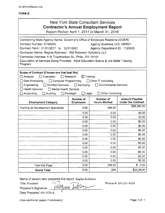### FORM<sub>B</sub>

| New York State Consultant Services    |  |
|---------------------------------------|--|
| Contractor's Annual Employment Report |  |

Report Period: April 1, 2017 to March 31, 2018

| Contracting State Agency Name: Governor's Office of Employee Relations (GOER)                   |                                   |                                  |                                                    |  |
|-------------------------------------------------------------------------------------------------|-----------------------------------|----------------------------------|----------------------------------------------------|--|
| Contract Number: C160020<br><b>Agency Business Unit: OER01</b>                                  |                                   |                                  |                                                    |  |
| Contract Term: 01/01/2017 to 12/31/2021<br>Agency Department ID: 1120000                        |                                   |                                  |                                                    |  |
| Contractor Name: Regina Robinson - RM Robinson Solutions LLC                                    |                                   |                                  |                                                    |  |
| Contractor Address: 9 W Tulpehocken St., Phila., PA 19144                                       |                                   |                                  |                                                    |  |
| Description of Services Being Provided: Adult Education Basics & Job Skills Training<br>Program |                                   |                                  |                                                    |  |
| Scope of Contract (Choose one that best fits):                                                  |                                   |                                  |                                                    |  |
| $\Box$ Analysis<br>Evaluation                                                                   | $\boxtimes$ Training<br>ヿResearch |                                  |                                                    |  |
| Computer Programming<br>Data Processing                                                         |                                   | Other IT consulting              |                                                    |  |
| Engineering<br>Architect Services                                                               | $\Box$ Surveying                  | Environmental Services           |                                                    |  |
| <b>Health Services</b><br>Mental Health Services                                                |                                   |                                  |                                                    |  |
| $\Box$ Accounting<br>Auditing                                                                   | $\Box$ Legal<br>$\Box$ Paralegal  | Other Consulting                 |                                                    |  |
| <b>Employment Category</b>                                                                      | Number of<br><b>Employees</b>     | Number of<br><b>Hours Worked</b> | <b>Amount Payable</b><br><b>Under the Contract</b> |  |
| <b>Training ad Development Specialists</b>                                                      | 5.00.                             | 258.00                           | \$28,380.00                                        |  |
|                                                                                                 | 0.00                              | 0.00                             | \$0.00                                             |  |
|                                                                                                 | 0.00                              | 0.00                             | \$0.00                                             |  |
|                                                                                                 | 0.00                              | 0.00                             | \$0.00                                             |  |
|                                                                                                 | 0.00                              | 0.00                             | \$0.00                                             |  |
|                                                                                                 | 0.00                              | 0.00                             | \$0.00                                             |  |
|                                                                                                 | 0.00                              | 0.00                             | \$0.00                                             |  |
|                                                                                                 | 0.00                              | 0.00                             | \$0.00                                             |  |
|                                                                                                 | 0.00                              | 0.00                             | \$0.00                                             |  |
|                                                                                                 | 0.00                              | 0.00                             | \$0.00                                             |  |
|                                                                                                 | 0.00                              | 0.00                             | \$0.00                                             |  |
|                                                                                                 | 0.00                              | 0.00                             | \$0.00                                             |  |
|                                                                                                 | 0.00                              | 0.00                             | \$0.00                                             |  |
| <b>Total this Page</b>                                                                          | 5.00                              | 258.00                           | \$0.00                                             |  |
| <b>Grand Total</b>                                                                              | 5.00                              | 258                              | \$28,380.00                                        |  |

Name of person who prepared this report: Regina Robinson

Title: President

Preparer's Signature:  $-1.7.$ ared this report: Regina Robinson Date Prepared: 05/15/2018

Phone#; 267-251-8326

(Use additional pages, if necessary) example that the extra set of the Page 1 of 1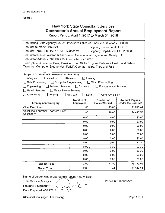### New York State Consultant Services **Contractor's Annual Employment Report**

Report Period: April 1, 2017 to March 31, 2018

| Contracting State Agency Name: Governor's Office of Employee Relations (GOER)           |                                      |                               |                           |  |
|-----------------------------------------------------------------------------------------|--------------------------------------|-------------------------------|---------------------------|--|
| Contract Number: C160024<br>Agency Business Unit: OER01                                 |                                      |                               |                           |  |
| Contract Term: 01/01/2017 to 12/31/2021<br>Agency Department ID: 1120000                |                                      |                               |                           |  |
| Contractor Name: Watson & Associates, Occupational Hygiene and Safety LLC               |                                      |                               |                           |  |
| Contractor Address: 709 CR 403, Greenville, NY 12083                                    |                                      |                               |                           |  |
| Description of Services Being Provided: Job Skills Program Delivery - Health and Safety |                                      |                               |                           |  |
| Training - Computer Ergonomics; Forklift Operator; Slips, Trips and Falls               |                                      |                               |                           |  |
|                                                                                         |                                      |                               |                           |  |
| Scope of Contract (Choose one that best fits):                                          |                                      |                               |                           |  |
| $\Box$ Analysis<br>l Evaluation                                                         | l I Research<br>$\boxtimes$ Training |                               |                           |  |
| Data Processing<br>□ Computer Programming                                               |                                      | □ Other IT consulting         |                           |  |
| $\Box$ Engineering<br>Architect Services                                                | Surveying<br>$\mathbf{I}$            | <b>Environmental Services</b> |                           |  |
| Health Services<br><b>Mental Health Services</b>                                        |                                      |                               |                           |  |
| Accounting<br>Auditing                                                                  | $\Box$ Legal<br>Paralegal            | <b>Other Consulting</b>       |                           |  |
|                                                                                         | Number of                            | Number of                     | <b>Amount Payable</b>     |  |
| <b>Employment Category</b>                                                              | <b>Employees</b>                     | <b>Hours Worked</b>           | <b>Under the Contract</b> |  |
| <b>Chief Executives</b>                                                                 | 1.00                                 | 13.00                         | \$1,695.41                |  |
| Vocational Education Teachers, Post-<br>Secondary                                       | 1.00                                 | 28.00                         | \$4,447.53                |  |
|                                                                                         | 0.00                                 | 0.00                          | \$0.00                    |  |
|                                                                                         | 0.00                                 | 0.00                          | \$0.00                    |  |
|                                                                                         | 0.00 <sub>1</sub>                    | 0.00                          | \$0.00                    |  |
|                                                                                         | 0.00                                 | 0.00                          | \$0.00                    |  |
|                                                                                         | 0.00                                 | 0.00                          | \$0.00                    |  |
|                                                                                         | 0.00                                 | 0.00                          | \$0.00                    |  |
|                                                                                         | 0.00                                 | 0.00                          | \$0.00                    |  |
|                                                                                         | 0.00                                 | 0.00                          | \$0.00                    |  |
|                                                                                         | 0.00                                 | 0.00                          | \$0.00                    |  |
|                                                                                         | 0.00                                 | 0.00                          | \$0.00                    |  |
|                                                                                         | 0.00                                 | 0.00                          | \$0.00                    |  |
| <b>Total this Page</b>                                                                  | 2.00                                 | 41.00                         | \$6,142.94                |  |
| <b>Grand Total</b>                                                                      | 2.00                                 | 41                            | \$6,142.94                |  |

Name of person who prepared this report: Amy Watson

Title: Business Manager  $\mathbf{r} = \mathbf{r}$ Preparer's Signature: Date Prepared: 05/15/2018 -

Phone #: 518-929-2428

(Use additional pages, if necessary) example to the extra set of the Page 1 of 1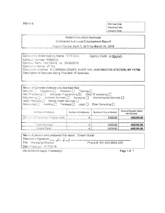**FORM 6** 

OSC Use Only: Reporting Code: Category Code:

### **State Consultant Services** Contractor's Annual Employment Report

Report Period: April 1, 2017 to March 31, 2018

Contracting State Agency Name: NYS DOL Agency Code: //20000 Contract Number: PH65773 Contract Term: 10/01/2012 to 09/30/2018 Contractor Name: IiT Inc. Contractor Address: & CORNISH COURT, SUITE 101, HUNTINGTON STATION, NY 11746 Description of Services Being Provided: IT Services

| Scope of Contract (Choose one that best fits):<br>Analysis Fvaluation <b>Research Training</b><br>Data Processing [1] Computer Programming [2] Other IT consulting [1]<br>Engineering [3] Architect Services [3] Surveying [3] Environmental Services [3]<br>Health Services [   Mental Health Services [ ]<br>Accounting   Auditing   Parategal   Legal   Other Consulting |                     |                        |                                      |
|-----------------------------------------------------------------------------------------------------------------------------------------------------------------------------------------------------------------------------------------------------------------------------------------------------------------------------------------------------------------------------|---------------------|------------------------|--------------------------------------|
| Einployment Category                                                                                                                                                                                                                                                                                                                                                        | Number of Employees | Number of Hours Worked | Amount Payable Under<br>the Contract |
|                                                                                                                                                                                                                                                                                                                                                                             |                     |                        |                                      |
| 15-1131.00 Computer Programmers                                                                                                                                                                                                                                                                                                                                             | 4                   | 6305.00                | 486309.56                            |
| Total this page                                                                                                                                                                                                                                                                                                                                                             | Č,                  | 6305.00                | 486309.56                            |

| - Name of person who prepared this report: Dinesh Gulati |                           |  |
|----------------------------------------------------------|---------------------------|--|
|                                                          |                           |  |
|                                                          | Phone #: 631-254-8600 215 |  |
| Date Prepared: 4/17/2018                                 |                           |  |
|                                                          |                           |  |

Use additional pages if necessary)

Page 1 of 1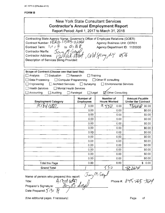| New York State Consultant Services<br><b>Contractor's Annual Employment Report</b><br>Report Period: April 1, 2017 to March 31, 2018                                                                                                                                                                                                                                                                                                 |                               |                                  |                                                    |  |
|--------------------------------------------------------------------------------------------------------------------------------------------------------------------------------------------------------------------------------------------------------------------------------------------------------------------------------------------------------------------------------------------------------------------------------------|-------------------------------|----------------------------------|----------------------------------------------------|--|
| Contracting State Agency Name: Governor's Office of Employee Relations (GOER)<br>Contract Number: 0ER01-515009-112000<br><b>Agency Business Unit: OER01</b><br>Contract Term: $1/t \neq 16$<br>to $\mathcal{D}/\mathcal{H}$ $\mathbb{F}_2$<br>Agency Department ID: 1120000<br>Jan Misiegel<br>Contractor Name:<br>12) Rock street, Coled Spring, NY 10546<br>Contractor Address:<br>Description of Services Being Provided          |                               |                                  |                                                    |  |
| Scope of Contract (Choose one that best fits):<br>Analysis<br>Evaluation<br>Research<br>Training<br>Data Processing<br>$\Box$ Computer Programming<br>$\Box$ Other IT consulting<br><b>Environmental Sérvices</b><br>Engineering<br><b>Architect Services</b><br>Surveying<br>$\perp$<br><b>Health Services</b><br>Mental Health Services<br>☑ Other Consulting<br>$\Box$ Accounting<br>$\Box$ Legal<br>$\Box$ Auditing<br>Paralegal |                               |                                  |                                                    |  |
| <b>Employment Category</b>                                                                                                                                                                                                                                                                                                                                                                                                           | Number of<br><b>Employees</b> | Number of<br>Hours Worked "      | <b>Amount Payable</b><br><b>Under the Contract</b> |  |
|                                                                                                                                                                                                                                                                                                                                                                                                                                      | 0.00                          | A.<br>0.00                       | \$0.00                                             |  |
|                                                                                                                                                                                                                                                                                                                                                                                                                                      | 0.00                          | 0.00                             | \$0.00                                             |  |
|                                                                                                                                                                                                                                                                                                                                                                                                                                      | 0.00                          | 0.00                             | \$0.00                                             |  |
|                                                                                                                                                                                                                                                                                                                                                                                                                                      | 0.00                          | 0.00                             | \$0.00                                             |  |
|                                                                                                                                                                                                                                                                                                                                                                                                                                      | 0.00                          | 0.00                             | \$0.00                                             |  |
|                                                                                                                                                                                                                                                                                                                                                                                                                                      | 0.00                          | 0.00                             | \$0.00                                             |  |
|                                                                                                                                                                                                                                                                                                                                                                                                                                      | 0.00                          | 0.00                             | \$0.00                                             |  |
|                                                                                                                                                                                                                                                                                                                                                                                                                                      | 0.00                          | 0.00                             | \$0.00                                             |  |
|                                                                                                                                                                                                                                                                                                                                                                                                                                      | 0.00                          | 0.00                             | \$0.00                                             |  |
|                                                                                                                                                                                                                                                                                                                                                                                                                                      | 0.00                          | 0.00                             | \$0.00                                             |  |
|                                                                                                                                                                                                                                                                                                                                                                                                                                      | 0.00                          | 0.00                             | \$0.00                                             |  |
|                                                                                                                                                                                                                                                                                                                                                                                                                                      | 0.00                          | 0.00                             | \$0.00                                             |  |
|                                                                                                                                                                                                                                                                                                                                                                                                                                      | 0.00                          | 0.00                             | \$0.00                                             |  |
| <b>Total this Page</b>                                                                                                                                                                                                                                                                                                                                                                                                               | 0.00                          | 0.00                             | \$0.00                                             |  |
| <b>Grand Total</b>                                                                                                                                                                                                                                                                                                                                                                                                                   |                               | 5D                               | 43, ZWW                                            |  |
| Name of person who prepared this report:<br>$A$ C by $t \omega t$<br>Title:<br>$\partial z \cap d'$ le $*$<br>Preparer's Signature:<br>Date Prepared: $5/3/8$                                                                                                                                                                                                                                                                        |                               | $\sigma$ ay $\overline{m}$ Steys | Phone #: 845-265-3124                              |  |

Phone #: 845-265-3124

Preparer's Signature:  $\frac{1}{\sqrt{3}}$ <br>Date Prepared:  $\frac{1}{2}$ / $\frac{2}{\sqrt{3}}$ 

(Use additional pages, if necessary)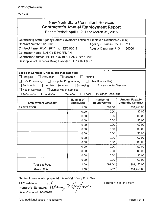## New York State Consultant Services **Contractor's Annual Employment Report**

Report Period: April 1, 2017 to March 31, 2018

| Contracting State Agency Name: Governor's Office of Employee Relations (GOER) |                               |                                    |                                                    |  |
|-------------------------------------------------------------------------------|-------------------------------|------------------------------------|----------------------------------------------------|--|
| Contract Number: S15005                                                       |                               | <b>Agency Business Unit: OER01</b> |                                                    |  |
| Contract Term: 01/01/2017 to 12/31/2018                                       |                               | Agency Department ID: 1120000      |                                                    |  |
| Contractor Name: NANCY E HOFFMAN                                              |                               |                                    |                                                    |  |
| Contractor Address: PO BOX 3719 ALBANY, NY 12203                              |                               |                                    |                                                    |  |
| Description of Services Being Provided: ARBITRATOR                            |                               |                                    |                                                    |  |
|                                                                               |                               |                                    |                                                    |  |
|                                                                               |                               |                                    |                                                    |  |
| Scope of Contract (Choose one that best fits):                                |                               |                                    |                                                    |  |
| Analysis<br>$\sqcap$ Evaluation                                               | Research                      | Training                           |                                                    |  |
| Data Processing<br>□ Computer Programming                                     |                               | $\exists$ Other IT consulting      |                                                    |  |
| Engineering<br><b>Architect Services</b>                                      | $\perp$<br>Surveying          | <b>Environmental Services</b>      |                                                    |  |
| <b>Health Services</b><br><b>Mental Health Services</b>                       |                               |                                    |                                                    |  |
| Auditing<br>Accounting                                                        | Paralegal<br>Legal            | $\boxtimes$ Other Consulting       |                                                    |  |
| <b>Employment Category</b>                                                    | Number of<br><b>Employees</b> | Number of<br><b>Hours Worked</b>   | <b>Amount Payable</b><br><b>Under the Contract</b> |  |
|                                                                               |                               |                                    |                                                    |  |
| <b>ARBITRATOR</b>                                                             | 1,00                          | 592.00                             | \$61,450.00                                        |  |
|                                                                               | 0.00                          | 0.00                               | \$0.00                                             |  |
|                                                                               | 0.00                          | 0.00                               | \$0.00                                             |  |
|                                                                               | 0.00                          | 0.00                               | \$0.00                                             |  |
|                                                                               | 0.00                          | 0.00                               | \$0.00                                             |  |
|                                                                               | 0.00                          | 0.00                               | \$0.00                                             |  |
|                                                                               | 0.00                          | 0.00                               | \$0.00                                             |  |
|                                                                               | 0.00                          | 0.00                               | \$0.00                                             |  |
|                                                                               | 0.00                          | 0.00                               | \$0.00                                             |  |
|                                                                               | 0.00                          | 0.00                               | \$0.00                                             |  |
|                                                                               | 0.00                          | 0.00                               | \$0.00                                             |  |
|                                                                               | 0.00                          | 0.00                               | \$0.00                                             |  |
|                                                                               | 0.00                          | 0.00                               | \$0.00                                             |  |
| <b>Total this Page</b>                                                        | 1.00                          | 592.00                             | \$61,450.00                                        |  |

Name of person who prepared this report: Nancy E Hoffinan

Grand Total<br>
Name of person who prepared this report: Nancy E H<br>
Title: Arbitrator<br>
Preparer's Signature: *Ulllum* & Yoy Date Prepared: 4/26/2018 Preparer's Signature: orepared this report: Nancy E Hoffman<br> *Melling* 7  $\sqrt{\mu}$  man Phone #

Phone#: 518-441-5099

(Use additional pages, if necessary) example that the example of the page 1 of 1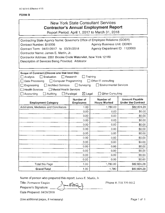|                                                                                                                                                                                                                                                                                      |                                                                       | <b>New York State Consultant Services</b><br><b>Contractor's Annual Employment Report</b><br>Report Period: April 1, 2017 to March 31, 2018 |                                                    |
|--------------------------------------------------------------------------------------------------------------------------------------------------------------------------------------------------------------------------------------------------------------------------------------|-----------------------------------------------------------------------|---------------------------------------------------------------------------------------------------------------------------------------------|----------------------------------------------------|
| Contracting State Agency Name: Governor's Office of Employee Relations (GOER)<br>Contract Number: S15006<br>Contract Term: 04/01/2017 to 03/31/2018<br>Contractor Name: James E. Martin, Jr.                                                                                         |                                                                       | Agency Business Unit: OER01<br>Agency Department ID: 1120000                                                                                |                                                    |
| Contractor Address: 2201 Brooke Circle Watervliet, New York 12189<br>Description of Services Being Provided: Arbitrator                                                                                                                                                              |                                                                       |                                                                                                                                             |                                                    |
| Scope of Contract (Choose one that best fits):<br>$\Box$ Analysis<br>$\Box$ Evaluation<br>$\Box$ Computer Programming<br>$\Box$ Data Processing<br>$\Box$ Engineering<br>□ Architect Services<br>□ Health Services<br>$\Box$ Mental Health Services<br>$\Box$ Accounting<br>Auditing | Research<br>$\Box$ Surveying<br>$\boxtimes$ Legal<br>$\Box$ Paralegal | Training<br>$\Box$ Other IT consulting<br>$\Box$ Environmental Services<br><b>Other Consulting</b>                                          |                                                    |
| <b>Employment Category</b>                                                                                                                                                                                                                                                           | Number of<br><b>Employees</b>                                         | Number of<br><b>Hours Worked</b>                                                                                                            | <b>Amount Payable</b><br><b>Under the Contract</b> |
| Arbitrators, Mediators and Conciliators                                                                                                                                                                                                                                              | 1.00                                                                  | 1,780.00                                                                                                                                    | \$82,824.28                                        |
|                                                                                                                                                                                                                                                                                      | 0.00                                                                  | 0.00                                                                                                                                        | \$0.00                                             |
|                                                                                                                                                                                                                                                                                      | 0.00                                                                  | 0.00                                                                                                                                        | \$0.00                                             |
|                                                                                                                                                                                                                                                                                      | 0.00                                                                  | 0.00                                                                                                                                        | \$0.00                                             |
|                                                                                                                                                                                                                                                                                      | 0.00                                                                  | 0.00                                                                                                                                        | \$0.00                                             |
|                                                                                                                                                                                                                                                                                      | 0.00                                                                  | 0.00                                                                                                                                        | \$0.00                                             |
|                                                                                                                                                                                                                                                                                      | 0.00                                                                  | 0,00                                                                                                                                        | \$0.00                                             |
|                                                                                                                                                                                                                                                                                      | 0.00                                                                  | 0.00                                                                                                                                        | \$0.00                                             |
|                                                                                                                                                                                                                                                                                      | 0.00                                                                  | 0.00                                                                                                                                        | \$0.00                                             |
|                                                                                                                                                                                                                                                                                      | 0.00                                                                  | 0.00                                                                                                                                        | \$0.00                                             |
|                                                                                                                                                                                                                                                                                      | 0.00                                                                  | 0.00                                                                                                                                        | \$0.00                                             |
|                                                                                                                                                                                                                                                                                      | 0.00                                                                  | 0.00                                                                                                                                        | \$0.00                                             |
|                                                                                                                                                                                                                                                                                      | 0.00                                                                  | 0.00                                                                                                                                        | \$0.00                                             |
| Total this Page                                                                                                                                                                                                                                                                      | 1.00                                                                  | 1,780.00                                                                                                                                    | \$82,824.28                                        |
| <b>Grand Total</b>                                                                                                                                                                                                                                                                   | 1.00                                                                  | 1,780                                                                                                                                       | \$82,824.28                                        |

Name of person who prepared this report: James E. Martin, Jr.

- Eftrat

X

Title: Permanent Umpire

Preparer's Signature:

Date Prepared: 04/26/2018

Phone #: 518 339-6612

(Use additional pages, if necessary)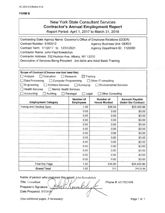|                                                                                                                                                                                                                                                                                                                                                                                                                                                   |                               | <b>New York State Consultant Services</b><br><b>Contractor's Annual Employment Report</b><br>Report Period: April 1, 2017 to March 31, 2018 |                                                                                                                                     |  |
|---------------------------------------------------------------------------------------------------------------------------------------------------------------------------------------------------------------------------------------------------------------------------------------------------------------------------------------------------------------------------------------------------------------------------------------------------|-------------------------------|---------------------------------------------------------------------------------------------------------------------------------------------|-------------------------------------------------------------------------------------------------------------------------------------|--|
| Contracting State Agency Name: Governor's Office of Employee Relations (GOER)<br>Contract Number: S160012<br>Contract Term: 1/1/2017 to 12/31/2021<br>Contractor Name: John Paul Kowalchyk<br>Contractor Address: 252 Hudson Ave, Albany, NY 12210<br>Description of Services Being Provided: Job Skills and Adult Basic Training                                                                                                                 |                               | Agency Business Unit: OER01<br>Agency Department ID: 1120000                                                                                |                                                                                                                                     |  |
| Scope of Contract (Choose one that best fits):<br>Analysis<br>$\Box$ Evaluation<br>Research<br>Training<br>$\times$<br>Data Processing<br>Computer Programming<br>$\Box$ Other IT consulting<br>$\Box$ Engineering<br><b>Architect Services</b><br>$\Box$ Surveying<br><b>Environmental Services</b><br><b>Health Services</b><br>Mental Health Services<br>Accounting<br>Auditing<br>$\Box$ Paralegal<br>$\Box$ Legal<br><b>Other Consulting</b> |                               |                                                                                                                                             |                                                                                                                                     |  |
|                                                                                                                                                                                                                                                                                                                                                                                                                                                   |                               |                                                                                                                                             |                                                                                                                                     |  |
| <b>Employment Category</b>                                                                                                                                                                                                                                                                                                                                                                                                                        | Number of<br><b>Employees</b> | Number of<br><b>Hours Worked</b>                                                                                                            | <b>Amount Payable</b><br><b>Under the Contract</b>                                                                                  |  |
| Traiing and Develop Spec                                                                                                                                                                                                                                                                                                                                                                                                                          | 1.00                          | 535.00                                                                                                                                      |                                                                                                                                     |  |
|                                                                                                                                                                                                                                                                                                                                                                                                                                                   | 0.00                          | 0.00                                                                                                                                        |                                                                                                                                     |  |
|                                                                                                                                                                                                                                                                                                                                                                                                                                                   | 0.00                          | 0.00                                                                                                                                        |                                                                                                                                     |  |
|                                                                                                                                                                                                                                                                                                                                                                                                                                                   | 0.00                          | 0.00                                                                                                                                        |                                                                                                                                     |  |
|                                                                                                                                                                                                                                                                                                                                                                                                                                                   | 0.00                          | 0.00                                                                                                                                        |                                                                                                                                     |  |
|                                                                                                                                                                                                                                                                                                                                                                                                                                                   | 0.00                          | 0.00                                                                                                                                        |                                                                                                                                     |  |
|                                                                                                                                                                                                                                                                                                                                                                                                                                                   | 0.00                          | 0.00                                                                                                                                        |                                                                                                                                     |  |
|                                                                                                                                                                                                                                                                                                                                                                                                                                                   | 0.00                          | 0.00                                                                                                                                        |                                                                                                                                     |  |
|                                                                                                                                                                                                                                                                                                                                                                                                                                                   | 0.00                          | 0.00                                                                                                                                        |                                                                                                                                     |  |
|                                                                                                                                                                                                                                                                                                                                                                                                                                                   | 0.00                          | 0.00                                                                                                                                        |                                                                                                                                     |  |
|                                                                                                                                                                                                                                                                                                                                                                                                                                                   | 0.00                          | 0.00                                                                                                                                        |                                                                                                                                     |  |
|                                                                                                                                                                                                                                                                                                                                                                                                                                                   | 0.00                          | 0.00                                                                                                                                        |                                                                                                                                     |  |
|                                                                                                                                                                                                                                                                                                                                                                                                                                                   | 0.00                          | 0.00                                                                                                                                        | \$29,426.86<br>\$0.00<br>\$0.00<br>\$0.00<br>\$0.00<br>\$0.00<br>\$0.00<br>\$0.00<br>\$0.00<br>\$0.00<br>\$0.00<br>\$0.00<br>\$0.00 |  |
| <b>Total this Page</b>                                                                                                                                                                                                                                                                                                                                                                                                                            | 1.00                          | 535.00                                                                                                                                      | \$29,426.86                                                                                                                         |  |

Name of person who prepared this report: John Kowalchyk

ni

Title: Consultant

Preparer's Signature: Date Prepared: 5/3/2018 Phone #: 63 17023498

(Use additional pages, if necessary) example 2 and 2 and 2 and 2 and 2 and 2 and 2 and 2 and 2 and 2 and 2 and 2 and 2 and 2 and 2 and 2 and 2 and 2 and 2 and 2 and 2 and 2 and 2 and 2 and 2 and 2 and 2 and 2 and 2 and 2 a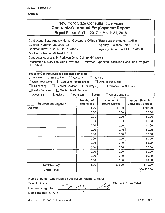#### FORM<sub>B</sub>

|                                                                                                                                                                                                                                                                                                                                                                                                                                                           |                               | New York State Consultant Services<br><b>Contractor's Annual Employment Report</b><br>Report Period: April 1, 2017 to March 31, 2018 |                                                    |
|-----------------------------------------------------------------------------------------------------------------------------------------------------------------------------------------------------------------------------------------------------------------------------------------------------------------------------------------------------------------------------------------------------------------------------------------------------------|-------------------------------|--------------------------------------------------------------------------------------------------------------------------------------|----------------------------------------------------|
| Contracting State Agency Name: Governor's Office of Employee Relations (GOER)<br>Contract Number: 0000000123<br>Contract Term: 12/1/17 to 12/31/17<br>Contractor Name: Michael J. Smith<br>Contractor Address: 84 Parkwyn Drive Delmar NY 12054<br>Description of Services Being Provided: Arbitrator Expedited Discipline Resolution Program<br><b>CSEA/NYS</b>                                                                                          |                               | <b>Agency Business Unit: OER01</b><br>Agency Department ID: 1120000                                                                  |                                                    |
| Scope of Contract (Choose one that best fits):<br>$\Box$ Analysis<br>$\Box$ Evaluation<br>$\Box$ Research<br>Training<br>□ Data Processing<br>$\Box$ Computer Programming<br>□ Other IT consulting<br>$\Box$ Engineering<br>□ Architect Services □ Surveying<br><b>Environmental Services</b><br>$\Box$ Health Services<br>Mental Health Services<br>$\Box$ Accounting<br>Auditing<br>$\Box$ Paralegal<br>$\square$ Legal<br>$\boxtimes$ Other Consulting |                               |                                                                                                                                      |                                                    |
| <b>Employment Category</b>                                                                                                                                                                                                                                                                                                                                                                                                                                | Number of<br><b>Employees</b> | Number of<br><b>Hours Worked</b>                                                                                                     | <b>Amount Payable</b><br><b>Under the Contract</b> |
| Arbitrator                                                                                                                                                                                                                                                                                                                                                                                                                                                | 1.00                          | 896.00                                                                                                                               | \$50,120                                           |
|                                                                                                                                                                                                                                                                                                                                                                                                                                                           | 0.00                          | 0.00                                                                                                                                 | \$0.00                                             |
|                                                                                                                                                                                                                                                                                                                                                                                                                                                           | 0.00                          | 0.00                                                                                                                                 | \$0.00                                             |
|                                                                                                                                                                                                                                                                                                                                                                                                                                                           | 0.00                          | V.<br>0.00                                                                                                                           | \$0.00                                             |
|                                                                                                                                                                                                                                                                                                                                                                                                                                                           | 0.00                          | 0.00                                                                                                                                 | \$0.00                                             |
|                                                                                                                                                                                                                                                                                                                                                                                                                                                           | 0.00                          | 0.00                                                                                                                                 | \$0.00                                             |
|                                                                                                                                                                                                                                                                                                                                                                                                                                                           | 0.00                          | 0.00                                                                                                                                 | \$0.00                                             |
|                                                                                                                                                                                                                                                                                                                                                                                                                                                           | 0.00                          | 0.00                                                                                                                                 | \$0.00                                             |
|                                                                                                                                                                                                                                                                                                                                                                                                                                                           | 0.00                          | 0.00                                                                                                                                 | \$0.00                                             |
|                                                                                                                                                                                                                                                                                                                                                                                                                                                           | 0.00                          | 0.00                                                                                                                                 | \$0.00                                             |
|                                                                                                                                                                                                                                                                                                                                                                                                                                                           | 0.00                          | 0.00                                                                                                                                 | \$0.00                                             |
|                                                                                                                                                                                                                                                                                                                                                                                                                                                           | 0.00                          | 0.00                                                                                                                                 | \$0.00                                             |
|                                                                                                                                                                                                                                                                                                                                                                                                                                                           | 0.00                          | 0.00                                                                                                                                 | \$0.00                                             |
| <b>Total this Page</b>                                                                                                                                                                                                                                                                                                                                                                                                                                    | 1.00                          | 896.00                                                                                                                               | \$<br>0.00                                         |
| <b>Grand Total</b>                                                                                                                                                                                                                                                                                                                                                                                                                                        |                               |                                                                                                                                      | \$50,120.00                                        |

Name of person who prepared this report: Michael J. Smith<br>
Title: Arbitrator<br>
Preparer's Signature: (2007) Title: Arbitrator  $\rho_{\text{reensner's Similar}}$ Preparer's Signature Date Prepared: 5/15/18

(Use additional pages, if necessary) example the extra set of the Page 1 of 1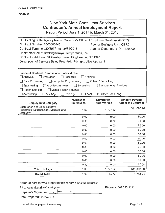|                                                                                                                                                                                                                                                                                                                                                 |                                                                                                                                                                                                                                                                                                        | New York State Consultant Services<br><b>Contractor's Annual Employment Report</b><br>Report Period: April 1, 2017 to March 31, 2018 |                                                    |  |  |
|-------------------------------------------------------------------------------------------------------------------------------------------------------------------------------------------------------------------------------------------------------------------------------------------------------------------------------------------------|--------------------------------------------------------------------------------------------------------------------------------------------------------------------------------------------------------------------------------------------------------------------------------------------------------|--------------------------------------------------------------------------------------------------------------------------------------|----------------------------------------------------|--|--|
| Contracting State Agency Name: Governor's Office of Employee Relations (GOER)<br>Contract Number: 0000000446<br>Contract Term: 01/30/2017 to 3//31/2018<br>Contractor Name: Stafkings/Royal Temporaries, Inc.<br>Contractor Address: 64 Hawley Street, Binghamton, NY 13901<br>Description of Services Being Provided: Administrative Assistant |                                                                                                                                                                                                                                                                                                        | <b>Agency Business Unit: OER01</b><br>Agency Department ID: 1120000                                                                  |                                                    |  |  |
| $\Box$ Analysis<br>Evaluation<br>$\Box$ Data Processing<br>$\square$ Engineering<br>$\Box$ Health Services<br>$\Box$ Accounting<br>Auditing                                                                                                                                                                                                     | Scope of Contract (Choose one that best fits):<br>$\sqcap$ Research<br>Training<br>□ Computer Programming<br>$\Box$ Other IT consulting<br><b>Architect Services</b><br>$\Box$ Surveying<br><b>Environmental Services</b><br>Mental Health Services<br>⊠ Other Consulting<br>$\Box$ Legal<br>Paralegal |                                                                                                                                      |                                                    |  |  |
|                                                                                                                                                                                                                                                                                                                                                 |                                                                                                                                                                                                                                                                                                        |                                                                                                                                      |                                                    |  |  |
|                                                                                                                                                                                                                                                                                                                                                 | Number of                                                                                                                                                                                                                                                                                              | Number of<br><b>Hours Worked</b>                                                                                                     | <b>Amount Payable</b><br><b>Under the Contract</b> |  |  |
| <b>Employment Category</b><br>Secretaries and Administrative<br>Assistants, Except Legal, Medical, and<br>Executive                                                                                                                                                                                                                             | <b>Employees</b><br>1.00                                                                                                                                                                                                                                                                               | 1,777.52                                                                                                                             | \$41,096.26                                        |  |  |
|                                                                                                                                                                                                                                                                                                                                                 | 0.00                                                                                                                                                                                                                                                                                                   | 0.00                                                                                                                                 | \$0.00                                             |  |  |
|                                                                                                                                                                                                                                                                                                                                                 | 0.00                                                                                                                                                                                                                                                                                                   | 0.00                                                                                                                                 | \$0.00                                             |  |  |
|                                                                                                                                                                                                                                                                                                                                                 | 0.00                                                                                                                                                                                                                                                                                                   | 0.00                                                                                                                                 | \$0.00                                             |  |  |
|                                                                                                                                                                                                                                                                                                                                                 | 0.00                                                                                                                                                                                                                                                                                                   | 0.00                                                                                                                                 | \$0.00                                             |  |  |
|                                                                                                                                                                                                                                                                                                                                                 | 0.00                                                                                                                                                                                                                                                                                                   | 0.00                                                                                                                                 | \$0.00                                             |  |  |
|                                                                                                                                                                                                                                                                                                                                                 | 0.00                                                                                                                                                                                                                                                                                                   | 0.00                                                                                                                                 | \$0.00                                             |  |  |
|                                                                                                                                                                                                                                                                                                                                                 | 0.00                                                                                                                                                                                                                                                                                                   | 0.00                                                                                                                                 | \$0.00                                             |  |  |
|                                                                                                                                                                                                                                                                                                                                                 | 0.00                                                                                                                                                                                                                                                                                                   | 0.00                                                                                                                                 | \$0.00                                             |  |  |
|                                                                                                                                                                                                                                                                                                                                                 | 0.00                                                                                                                                                                                                                                                                                                   | 0.00                                                                                                                                 | \$0.00                                             |  |  |
|                                                                                                                                                                                                                                                                                                                                                 | 0.00                                                                                                                                                                                                                                                                                                   | 0.00                                                                                                                                 | \$0.00                                             |  |  |
|                                                                                                                                                                                                                                                                                                                                                 | 0.00                                                                                                                                                                                                                                                                                                   | 0.00                                                                                                                                 | \$0.00                                             |  |  |
|                                                                                                                                                                                                                                                                                                                                                 | 0.00                                                                                                                                                                                                                                                                                                   | 0.00                                                                                                                                 | \$0.00                                             |  |  |
| Total this Page                                                                                                                                                                                                                                                                                                                                 | 1.00                                                                                                                                                                                                                                                                                                   | 1,777.52                                                                                                                             | \$41,096.26                                        |  |  |

Name of person who prepared this report: Christine Robinson

Title: Administrative Coordinator Phone #: 607 772-8080

Preparer's Signature: <u>U-</u>

Date Prepared: 04/27/2018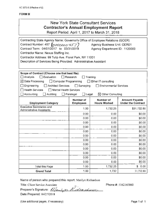### FORM<sub>B</sub>

| <b>New York State Consultant Services</b><br><b>Contractor's Annual Employment Report</b><br>Report Period: April 1, 2017 to March 31, 2018                                                                                                                                                                                                                                                                                                                   |                          |                                  |                                                    |  |
|---------------------------------------------------------------------------------------------------------------------------------------------------------------------------------------------------------------------------------------------------------------------------------------------------------------------------------------------------------------------------------------------------------------------------------------------------------------|--------------------------|----------------------------------|----------------------------------------------------|--|
| Contracting State Agency Name: Governor's Office of Employee Relations (GOER)<br>Contract Number: 457 (0000000 457)<br><b>Agency Business Unit: OER01</b><br>Contract Term: 04/01/2017 to 03/31/2018<br>Agency Department ID: 1120000<br>Contractor Name: Nexus Staffing Inc.<br>Contractor Address: 99 Tulip Ave. Floral Park, NY 11001<br>Description of Services Being Provided: Administrative Assistant                                                  |                          |                                  |                                                    |  |
| Scope of Contract (Choose one that best fits):<br>Analysis<br>$\Box$ Evaluation<br>Research<br>Training<br>$\boxtimes$ Data Processing<br>$\Box$ Computer Programming<br>$\Box$ Other IT consulting<br>Engineering<br><b>Architect Services</b><br>$\Box$ Surveying<br><b>Environmental Services</b><br><b>Health Services</b><br>$\Box$ Mental Health Services<br>$\Box$ Legal<br>Accounting<br>$\boxtimes$ Other Consulting<br>Auditing<br>$\Box$ Paralegal |                          |                                  |                                                    |  |
|                                                                                                                                                                                                                                                                                                                                                                                                                                                               | Number of                |                                  |                                                    |  |
| <b>Employment Category</b>                                                                                                                                                                                                                                                                                                                                                                                                                                    |                          | Number of<br><b>Hours Worked</b> | <b>Amount Payable</b><br><b>Under the Contract</b> |  |
| <b>Executive Secretaries and</b><br>Administrative Assistants                                                                                                                                                                                                                                                                                                                                                                                                 | <b>Employees</b><br>1.00 | 1,732.25                         | \$31,732.80                                        |  |
|                                                                                                                                                                                                                                                                                                                                                                                                                                                               | 0.00                     | 0.00                             | \$0.00                                             |  |
|                                                                                                                                                                                                                                                                                                                                                                                                                                                               | 0.00                     | 0.00                             | \$0.00                                             |  |
|                                                                                                                                                                                                                                                                                                                                                                                                                                                               | 0.00                     | 0.00                             | \$0.00                                             |  |
|                                                                                                                                                                                                                                                                                                                                                                                                                                                               | 0.00                     | 0.00                             | \$0.00                                             |  |
|                                                                                                                                                                                                                                                                                                                                                                                                                                                               | 0.00                     | 0.00                             | \$0.00                                             |  |
|                                                                                                                                                                                                                                                                                                                                                                                                                                                               | 0.00                     | 0,00                             | \$0.00                                             |  |
|                                                                                                                                                                                                                                                                                                                                                                                                                                                               | 0.00                     | 0.00                             | \$0.00                                             |  |
|                                                                                                                                                                                                                                                                                                                                                                                                                                                               | 0.00                     | 0.00                             | \$0.00                                             |  |
|                                                                                                                                                                                                                                                                                                                                                                                                                                                               | 0.00                     | 0.00                             | \$0.00                                             |  |
|                                                                                                                                                                                                                                                                                                                                                                                                                                                               | 0.00                     | 0.00                             | \$0.00                                             |  |
|                                                                                                                                                                                                                                                                                                                                                                                                                                                               | 0.00                     | 0.00                             | \$0.00                                             |  |
|                                                                                                                                                                                                                                                                                                                                                                                                                                                               | 0.00                     | 0.00                             | \$0.00                                             |  |
| <b>Total this Page</b><br><b>Grand Total</b>                                                                                                                                                                                                                                                                                                                                                                                                                  | 1.00<br>1.00             | 1,732.25<br>1,732                | \$<br>0.00<br>31,732.80                            |  |

Name of person who prepared this report: Marilyn Richardson

Title: Client Service Associate **Phone #: 5162165860** 

Preparer's Signature: */IJ,z,.,* 4/17 */2:/1h¢1a@an;-2*  Date Prepared: 04/27/2018

(Use additional pages, if necessary) example that the extra set of the Page 1 of 1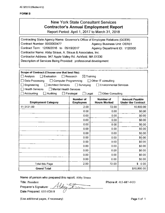# New York State Consultant Services Contractor's Annual Employment Report

Report Period: April 1, 2017 to March 31, 2018

| Contracting State Agency Name: Governor's Office of Employee Relations (GOER)<br>Contract Number: 0000000477<br><b>Agency Business Unit: OER01</b><br>Contract Term: 12/06/2016 to 05/19/2017<br>Agency Department ID: 1120000 |                                      |                                  |                                                    |  |
|--------------------------------------------------------------------------------------------------------------------------------------------------------------------------------------------------------------------------------|--------------------------------------|----------------------------------|----------------------------------------------------|--|
| Contractor Name: Abby Straus, A. Straus & Associates, Inc.                                                                                                                                                                     |                                      |                                  |                                                    |  |
| Contractor Address: 947 Apple Valley Rd. Ashfield, MA 01330                                                                                                                                                                    |                                      |                                  |                                                    |  |
| Description of Services Being Provided: professional development                                                                                                                                                               |                                      |                                  |                                                    |  |
|                                                                                                                                                                                                                                |                                      |                                  |                                                    |  |
| Scope of Contract (Choose one that best fits):                                                                                                                                                                                 |                                      |                                  |                                                    |  |
| $\Box$ Analysis<br>$\exists$ Evaluation                                                                                                                                                                                        | $\boxtimes$ Training<br>Research     |                                  |                                                    |  |
| Data Processing<br>$\Box$ Computer Programming                                                                                                                                                                                 |                                      | $\Box$ Other IT consulting       |                                                    |  |
| Engineering<br><b>Architect Services</b>                                                                                                                                                                                       | $\Box$ Surveying                     | Environmental Services           |                                                    |  |
| <b>Health Services</b><br>Mental Health Services                                                                                                                                                                               |                                      |                                  |                                                    |  |
| Accounting<br>Auditing                                                                                                                                                                                                         | $\Box$ Paralegal<br>$\Box$ Legal     | <b>Other Consulting</b>          |                                                    |  |
|                                                                                                                                                                                                                                |                                      |                                  |                                                    |  |
| <b>Employment Category</b>                                                                                                                                                                                                     | <b>Number of</b><br><b>Employees</b> | Number of<br><b>Hours Worked</b> | <b>Amount Payable</b><br><b>Under the Contract</b> |  |
| 11-3131.00                                                                                                                                                                                                                     | 2.00                                 | 72.00                            | 10,800.00                                          |  |
|                                                                                                                                                                                                                                | 0.00                                 | 0.00                             | \$0.00                                             |  |
|                                                                                                                                                                                                                                | 0.00                                 | 0.00                             | \$0.00                                             |  |
|                                                                                                                                                                                                                                | 0.00                                 | 0.00                             | \$0.00                                             |  |
|                                                                                                                                                                                                                                | 0.00                                 | 0.00                             | \$0.00                                             |  |
|                                                                                                                                                                                                                                | 0.00                                 | 0.00                             | \$0.00                                             |  |
|                                                                                                                                                                                                                                | 0.00                                 | 0.00                             | \$0.00                                             |  |
|                                                                                                                                                                                                                                | 0.00                                 | 0.00                             | \$0.00                                             |  |
|                                                                                                                                                                                                                                | 0.00                                 | 0.00                             | \$0.00                                             |  |
|                                                                                                                                                                                                                                | 0.00                                 | 0.00                             | \$0.00                                             |  |
|                                                                                                                                                                                                                                | 0.00                                 | 0.00                             | \$0.00                                             |  |
|                                                                                                                                                                                                                                | 0.00                                 | 0.00                             | \$0.00                                             |  |
|                                                                                                                                                                                                                                | 0.00                                 | 0.00                             | \$0.00                                             |  |
| <b>Total this Page</b>                                                                                                                                                                                                         | 2.00                                 | 72.00                            | \$0.00                                             |  |
| <b>Grand Total</b>                                                                                                                                                                                                             |                                      |                                  | \$10,800.00                                        |  |

Name of person who prepared this report: Abby Straus<br>Title: President *j*//;<br>

Title: President<br>Preparer's Signature: Date Prepared: 05/14/2018

Phone#: 413-687-4433

(Use additional pages, if necessary)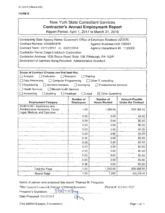# New York State Consultant Services **Contractor's Annual Employment Report**

Report Period: April 1, 2017 to March 31, 2018

| Contracting State Agency Name: Governor's Office of Employee Relations (GOER) |                                  |                                    |                           |  |  |
|-------------------------------------------------------------------------------|----------------------------------|------------------------------------|---------------------------|--|--|
| Contract Number: 0000000478                                                   |                                  | <b>Agency Business Unit: OER01</b> |                           |  |  |
| Contract Term: 07/11/2017 to 03/31/2018<br>Agency Department ID: 1120000      |                                  |                                    |                           |  |  |
| Contractor Name: Cogent Infotech Corporation                                  |                                  |                                    |                           |  |  |
| Contractor Address: 1035 Boyce Road, Suite 108, Pittsburgh, PA 15241          |                                  |                                    |                           |  |  |
| Description of Services Being Provided: Administrative Assistant              |                                  |                                    |                           |  |  |
|                                                                               |                                  |                                    |                           |  |  |
|                                                                               |                                  |                                    |                           |  |  |
| Scope of Contract (Choose one that best fits):                                |                                  |                                    |                           |  |  |
| □ Analysis<br>$\Box$ Evaluation                                               | $\Box$ Research                  | Training                           |                           |  |  |
| Data Processing<br>Computer Programming                                       |                                  | Other IT consulting                |                           |  |  |
| $\Box$ Engineering<br>Architect Services                                      | Surveying                        | <b>Environmental Services</b>      |                           |  |  |
| <b>Health Services</b><br>Mental Health Services                              |                                  |                                    |                           |  |  |
| $\exists$ Accounting<br>Auditing                                              | $\Box$ Legal<br>$\Box$ Paralegal | $\boxtimes$ Other Consulting       |                           |  |  |
|                                                                               | Number of                        | Number of                          | <b>Amount Payable</b>     |  |  |
| <b>Employment Category</b>                                                    | <b>Employees</b>                 | <b>Hours Worked</b>                | <b>Under the Contract</b> |  |  |
| 43-6014.00 - Secretaries and                                                  |                                  |                                    |                           |  |  |
| <b>Administrative Assistants, Except</b><br>Legal, Medical, and Executive     | 1.00                             | 1,280.00                           | \$26,368.00               |  |  |
|                                                                               | 0.00                             | 0.00                               | \$0.00                    |  |  |
|                                                                               | 0.00                             | 0.00                               | \$0.00                    |  |  |
|                                                                               | 0.00                             | 0.00                               | \$0,00                    |  |  |
|                                                                               | 0.00                             | 0.00                               | \$0.00                    |  |  |
| \$0.00<br>0.00<br>0.00                                                        |                                  |                                    |                           |  |  |
|                                                                               | 0.00                             | 0.00                               | \$0.00                    |  |  |
|                                                                               | 0.00                             | 0.00                               | \$0.00                    |  |  |
|                                                                               | 0.00                             | 0.00                               | \$0.00                    |  |  |
|                                                                               | 0.00                             | 0.00                               | \$0.00                    |  |  |
|                                                                               | 0.00                             | 0.00                               | \$0.00                    |  |  |
|                                                                               | 0.00                             | 0.00                               | \$0.00                    |  |  |
|                                                                               | 0.00                             | 0.00                               | \$0.00                    |  |  |
|                                                                               |                                  |                                    |                           |  |  |
| <b>Total this Page</b>                                                        | 1.00                             | 1,280.00                           | \$26,368.00               |  |  |
| <b>Grand Total</b>                                                            | 1.00                             | 1,280                              | \$26,368.00               |  |  |

Name of person who prepared this report: Thomas M. Ferguson

Title: General Counsel & Director of Human Resources ryon  $\langle n \rangle$ 

Phone #: 412-951-7257

Preparer's Signature:

Date Prepared: 05/15/2018

(Use additional pages, if necessary) example that the example of the Page 1 of 1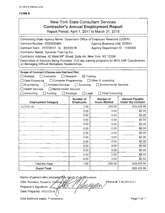# New York State Consultant Services **Contractor's Annual Employment Report**

Report Period: April 1, 2017 to March 31, 2018

| Contracting State Agency Name: Governor's Office of Employee Relations (GOER)                   |                      |                                                        |                           |
|-------------------------------------------------------------------------------------------------|----------------------|--------------------------------------------------------|---------------------------|
| Contract Number: 0000000480<br><b>Agency Business Unit: OER01</b>                               |                      |                                                        |                           |
| Contract Term: 7//17/2017 to 3/31/2018<br>Agency Department ID: 1120000                         |                      |                                                        |                           |
| Contractor Name: Dynamic Training Inc.                                                          |                      |                                                        |                           |
| Contractor Address: 40 West 84th Street, Suite 4A; New York, NY 10024                           |                      |                                                        |                           |
| Description of Services Being Provided: Full day training programs for NYS EAP Coordinators     |                      |                                                        |                           |
| on Managing Difficult Workplace Relationships                                                   |                      |                                                        |                           |
|                                                                                                 |                      |                                                        |                           |
| Scope of Contract (Choose one that best fits):<br>$\Box$ Evaluation                             | $\Box$ Research      |                                                        |                           |
| <b>∃</b> Analysis<br>□ Data Processing                                                          | $\boxtimes$ Training |                                                        |                           |
| $\Box$ Computer Programming<br><b>Architect Services</b>                                        | $\Box$ Surveying     | □ Other IT consulting<br><b>Environmental Services</b> |                           |
| $\Box$ Engineering<br><b>Health Services</b><br>Mental Health Services                          |                      |                                                        |                           |
|                                                                                                 |                      |                                                        |                           |
| Accounting<br>$\Box$ Auditing<br><b>Other Consulting</b><br>$\Box$ Paralegal<br>$\square$ Legai |                      |                                                        |                           |
|                                                                                                 | <b>Number of</b>     | <b>Number of</b>                                       | <b>Amount Payable</b>     |
| <b>Employment Category</b>                                                                      | <b>Employees</b>     | <b>Hours Worked</b>                                    | <b>Under the Contract</b> |
| 13-1151.00                                                                                      | 1.00                 | 200.00                                                 | \$28,405.56               |
|                                                                                                 | 0.00                 | 0.00                                                   | \$0.00                    |
|                                                                                                 | 0.00                 | 0.00                                                   | \$0.00                    |
|                                                                                                 | 0.00                 | 0.00                                                   | \$0.00                    |
|                                                                                                 | 0.00                 | 0.00                                                   | \$0.00                    |
|                                                                                                 | 0.00                 | 0.00                                                   | \$0.00                    |
|                                                                                                 | 0.00                 | 0.00                                                   | \$0.00                    |
|                                                                                                 | 0.00                 | 0.00                                                   | \$0.00                    |
|                                                                                                 | 0.00                 | 0.00                                                   | \$0.00                    |
|                                                                                                 | 0.00                 | 0.00                                                   | \$0.00                    |
|                                                                                                 | 0.00                 | 0.00                                                   | \$0.00                    |
|                                                                                                 | 0.00                 | 0.00                                                   | \$0.00                    |
|                                                                                                 | 0.00                 | 0.00                                                   | \$0.00                    |
| <b>Total this Page</b>                                                                          | 1.00                 | 200.00                                                 | \$28,405.56               |

Name of person who prepared this report Todd Mohrmann Title: President, Dynamic T Phone #: 518-369-9353<br>Preparer's Signature: Ann All And Branch Content: 518-369-9353<br>Date Preparer: 04/2000 And Content: 04/2000 And Preparer: 04/2000 And Preparer: 04/2000 And Preparer: 04/2000 Date Prepared: 04/25/2018

(Use additional pages, if necessary) example that the example of the Page 1 of 1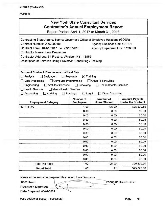### New York State Consultant Services **Contractor's Annual Employment Report**

Report Period: April 1, 2017 to March 31, 2018

| Contracting State Agency Name: Governor's Office of Employee Relations (GOER)        |                                         |                                         |                                                    |
|--------------------------------------------------------------------------------------|-----------------------------------------|-----------------------------------------|----------------------------------------------------|
| Contract Number: 0000000481                                                          | <b>Agency Business Unit: OER01</b>      |                                         |                                                    |
| Contract Term: 04/01/2017 to 03/31/2018                                              | Agency Department ID: 1120000           |                                         |                                                    |
| Contractor Name: Lesa Densmore                                                       |                                         |                                         |                                                    |
| Contractor Address: 64 Frost rd. Windsor, NY. 13865                                  |                                         |                                         |                                                    |
| Description of Services Being Provided: Consulting / Training                        |                                         |                                         |                                                    |
| Scope of Contract (Choose one that best fits):<br>Evaluation<br>$\Box$ Analysis<br>H | $\Box$ Research<br>$\boxtimes$ Training |                                         |                                                    |
| Data Processing<br>Computer Programming                                              |                                         | Other IT consulting                     |                                                    |
| Engineering<br><b>Architect Services</b>                                             | $\Box$ Surveying                        | Environmental Services                  |                                                    |
| Health Services<br>Mental Health Services                                            |                                         |                                         |                                                    |
| $\Box$ Accounting<br>Auditing                                                        | $\Box$ Paralegal<br>$\Box$ Legal        | <b>Other Consulting</b>                 |                                                    |
| <b>Employment Category</b>                                                           | Number of<br><b>Employees</b>           | <b>Number of</b><br><b>Hours Worked</b> | <b>Amount Payable</b><br><b>Under the Contract</b> |
| 13-1151.00                                                                           | 1.00                                    | 125.00                                  | \$25,870.50                                        |
|                                                                                      | 0.00                                    | 0.00                                    | \$0.00                                             |
|                                                                                      | 0.00                                    | 0.00                                    | \$0.00                                             |
|                                                                                      | 0.00                                    | 0.00                                    | \$0.00                                             |
|                                                                                      | 0.00                                    | 0.00                                    | \$0.00                                             |
|                                                                                      | 0.00                                    | 0.00                                    | \$0.00                                             |
|                                                                                      | 0.00                                    | 0.00                                    | \$0.00                                             |
|                                                                                      | 0.00                                    | 0.00                                    | \$0.00                                             |
|                                                                                      | 0.00                                    | 0.00                                    | \$0.00                                             |
|                                                                                      | 0.00                                    | 0.00                                    | \$0.00                                             |
|                                                                                      | 0,00                                    | 0.00                                    | \$0.00                                             |
|                                                                                      | 0,00                                    | 0.00                                    | \$0.00                                             |
|                                                                                      | 0.00                                    | 0.00                                    | \$0.00                                             |
| <b>Total this Page</b>                                                               | 1.00                                    | 125.00                                  | \$25,870.50                                        |
| <b>Grand Total</b>                                                                   | 1.00                                    | 125                                     | \$25,870.50                                        |

Name of person who prepared this report: Lesa Densmore Name of person who prepared this report: Lesa Densmore<br>Title: Owner Phone #: 607-221-0157<br>Preparer's Signature:

Preparer's Signature:

Date Prepared: 05/07/2018

(Use additional pages, if necessary) example of page of page of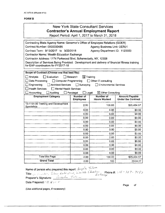### **New York State Consultant Services Contractor's Annual Employment Report**

Report Period: April 1, 2017 to March 31, 2018

| Contracting State Agency Name: Governor's Office of Employee Relations (GOER)                  |                                  |                                    |                           |  |
|------------------------------------------------------------------------------------------------|----------------------------------|------------------------------------|---------------------------|--|
| Contract Number: 0000000485                                                                    |                                  | <b>Agency Business Unit: OER01</b> |                           |  |
| Contract Term: 9/13/2017 to 3/22/2018                                                          |                                  | Agency Department ID: 1120000      |                           |  |
| Contractor Name: Wealth Education Exchange                                                     |                                  |                                    |                           |  |
| Contractor Address: 1174 Parkwood Blvd, Schenectady, NY, 12308                                 |                                  |                                    |                           |  |
| Description of Services Being Provided: Development and delivery of financial fitness training |                                  |                                    |                           |  |
| for EAP coordinators for FY2017-18                                                             |                                  |                                    |                           |  |
|                                                                                                |                                  |                                    |                           |  |
| Scope of Contract (Choose one that best fits):                                                 |                                  |                                    |                           |  |
| Analysis<br>Evaluation                                                                         | $\boxtimes$ Training<br>Research |                                    |                           |  |
| Computer Programming<br>Data Processing                                                        |                                  | $\Box$ Other IT consulting         |                           |  |
| Engineering<br><b>Architect Services</b>                                                       | $\Box$ Surveying                 | <b>Environmental Services</b>      |                           |  |
| <b>Health Services</b><br><b>Mental Health Services</b>                                        |                                  |                                    |                           |  |
| Accounting<br>Auditing                                                                         | Paralegal<br>$\Box$ Legal        | $\boxtimes$ Other Consulting       |                           |  |
| <b>Employment Category</b>                                                                     | Number of                        | Number of                          | <b>Amount Payable</b>     |  |
|                                                                                                | <b>Employees</b>                 | <b>Hours Worked</b>                | <b>Under the Contract</b> |  |
| 13-1151.00 Training and Development<br><b>Specialists</b>                                      | 2.00                             | 100.00                             | \$25,434.57               |  |
|                                                                                                | 0.00                             | 0.00                               | \$0.00                    |  |
|                                                                                                | 0.00                             | 0.00                               | \$0.00                    |  |
|                                                                                                | 0.00                             | 0.00                               | \$0.00                    |  |
|                                                                                                | 0.00                             | 0.00                               | \$0.00                    |  |
| 0.00.<br>0.00<br>\$0.00                                                                        |                                  |                                    |                           |  |
|                                                                                                |                                  |                                    |                           |  |
|                                                                                                | 0.00                             | 0.00                               | \$0.00                    |  |
|                                                                                                | 0.00                             | 0.00                               | \$0.00                    |  |
|                                                                                                | 0.00                             | 0.00                               | \$0.00                    |  |
|                                                                                                | 0.00                             | 0.00                               | \$0.00                    |  |
|                                                                                                | 0.00                             | 0.00                               | \$0.00                    |  |
|                                                                                                | 0.00                             | 0.00                               | \$0.00                    |  |
|                                                                                                | 0.00                             | 0.00                               | \$0.00                    |  |
| <b>Total this Page</b>                                                                         | 2.00                             | 100.00                             | \$25,434.57               |  |

Name of person who prepared this report: Angela Tatem Title:  $C_6$ ,  $f(x_0, dx_1)$ , Tabour Enterprise, Wealth Education<br>Title:  $C_6$ ,  $f(x_0, dx_1)$ , Tabour Enterprise, Wealth Education<br>Eschange Preparer's Signature: Congeda Tarten

Date Prepared: 0:// 24 22 28

(Use additional pages, if necessary)

 $\bar{z}$ 

Page  $\sigma f$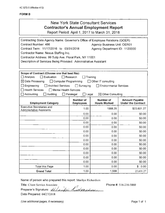| <b>New York State Consultant Services</b>      |
|------------------------------------------------|
| <b>Contractor's Annual Employment Report</b>   |
| Report Period: April 1, 2017 to March 31, 2018 |
|                                                |
|                                                |

| Contracting State Agency Name: Governor's Office of Employee Relations (GOER)                                                      |                                                                  |                                         |                                                    |  |  |
|------------------------------------------------------------------------------------------------------------------------------------|------------------------------------------------------------------|-----------------------------------------|----------------------------------------------------|--|--|
| Contract Number: 486                                                                                                               | <b>Agency Business Unit: OER01</b>                               |                                         |                                                    |  |  |
| Contract Term: 11/17/2016 to 03/31/2018<br>Agency Department ID: 1120000                                                           |                                                                  |                                         |                                                    |  |  |
| Contractor Name: Nexus Staffing Inc.                                                                                               |                                                                  |                                         |                                                    |  |  |
| Contractor Address: 99 Tulip Ave. Floral Park, NY 11001                                                                            |                                                                  |                                         |                                                    |  |  |
|                                                                                                                                    | Description of Services Being Provided: Administrative Assistant |                                         |                                                    |  |  |
|                                                                                                                                    |                                                                  |                                         |                                                    |  |  |
|                                                                                                                                    |                                                                  |                                         |                                                    |  |  |
| Scope of Contract (Choose one that best fits):<br>$\Box$ Analysis<br>$\Box$ Evaluation                                             | $\Box$ Research                                                  | Training                                |                                                    |  |  |
| $\boxtimes$ Data Processing<br>Computer Programming                                                                                |                                                                  | □ Other IT consulting                   |                                                    |  |  |
| Engineering<br><b>Architect Services</b>                                                                                           | $\Box$ Surveying                                                 | <b>Environmental Services</b>           |                                                    |  |  |
| <b>Health Services</b>                                                                                                             |                                                                  |                                         |                                                    |  |  |
| <b>Mental Health Services</b><br>$\Box$ Accounting<br>Auditing<br>$\Box$ Legal<br>$\boxtimes$ Other Consulting<br>$\Box$ Paralegal |                                                                  |                                         |                                                    |  |  |
|                                                                                                                                    |                                                                  |                                         |                                                    |  |  |
| <b>Employment Category</b>                                                                                                         | <b>Number of</b><br><b>Employees</b>                             | <b>Number of</b><br><b>Hours Worked</b> | <b>Amount Payable</b><br><b>Under the Contract</b> |  |  |
| <b>Executive Secretaries and</b>                                                                                                   | 1.00                                                             | 1568.25                                 | \$23,601.27                                        |  |  |
| <b>Adminisrtative Assistants</b>                                                                                                   | 0.00                                                             | 0.00                                    | \$0.00                                             |  |  |
| 0.00                                                                                                                               |                                                                  |                                         |                                                    |  |  |
| 0.00<br>\$0.00<br>0.00<br>0.00                                                                                                     |                                                                  |                                         |                                                    |  |  |
| \$0.00<br>0.00<br>0.00<br>\$0.00                                                                                                   |                                                                  |                                         |                                                    |  |  |
| 0.00<br>0.00<br>\$0.00                                                                                                             |                                                                  |                                         |                                                    |  |  |
| 0.00<br>\$0.00<br>0.00                                                                                                             |                                                                  |                                         |                                                    |  |  |
| 0.00<br>0.00<br>\$0.00                                                                                                             |                                                                  |                                         |                                                    |  |  |
| 0.00<br>0.00<br>\$0.00                                                                                                             |                                                                  |                                         |                                                    |  |  |
|                                                                                                                                    | 0.00                                                             | 0.00                                    | \$0.00                                             |  |  |
|                                                                                                                                    | 0.00                                                             | 0.00                                    | \$0.00                                             |  |  |
| 0.00<br>0.00<br>\$0.00                                                                                                             |                                                                  |                                         |                                                    |  |  |
| 0.00<br>0.00<br>\$0.00                                                                                                             |                                                                  |                                         |                                                    |  |  |
| 1.00<br>0.00<br>\$0.00<br>Total this Page                                                                                          |                                                                  |                                         |                                                    |  |  |
| 1.00<br>1,568<br>23,601.27<br><b>Grand Total</b>                                                                                   |                                                                  |                                         |                                                    |  |  |

Name of person who prepared this report: Marilyn Richardson

Title: Client Service Associate<br>Programme Signature: *Alexander Later Carlo* Preparer's Signature: ~../.~/"~1\_-\_ ,\_J.~u----~\_1\_/~./~rt ... .....:\_;;\_nz \_\_ ,.\_y\_ei\_.--.r<----t-,....,..,...\_ .\_ Date Prepared: 04/27/2018

Phone #: 516-216-5 860

(Use additional pages, if necessary) example the extra set of the Page 1 of 1